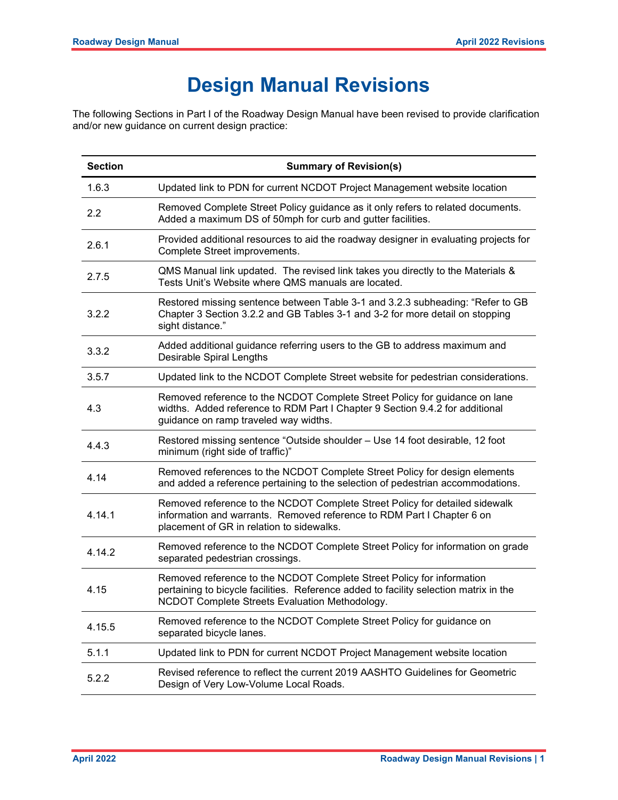## Design Manual Revisions

The following Sections in Part I of the Roadway Design Manual have been revised to provide clarification and/or new guidance on current design practice:

| <b>Section</b> | <b>Summary of Revision(s)</b>                                                                                                                                                                                    |
|----------------|------------------------------------------------------------------------------------------------------------------------------------------------------------------------------------------------------------------|
| 1.6.3          | Updated link to PDN for current NCDOT Project Management website location                                                                                                                                        |
| 2.2            | Removed Complete Street Policy guidance as it only refers to related documents.<br>Added a maximum DS of 50mph for curb and gutter facilities.                                                                   |
| 2.6.1          | Provided additional resources to aid the roadway designer in evaluating projects for<br>Complete Street improvements.                                                                                            |
| 2.7.5          | QMS Manual link updated. The revised link takes you directly to the Materials &<br>Tests Unit's Website where QMS manuals are located.                                                                           |
| 3.2.2          | Restored missing sentence between Table 3-1 and 3.2.3 subheading: "Refer to GB<br>Chapter 3 Section 3.2.2 and GB Tables 3-1 and 3-2 for more detail on stopping<br>sight distance."                              |
| 3.3.2          | Added additional guidance referring users to the GB to address maximum and<br>Desirable Spiral Lengths                                                                                                           |
| 3.5.7          | Updated link to the NCDOT Complete Street website for pedestrian considerations.                                                                                                                                 |
| 4.3            | Removed reference to the NCDOT Complete Street Policy for guidance on lane<br>widths. Added reference to RDM Part I Chapter 9 Section 9.4.2 for additional<br>guidance on ramp traveled way widths.              |
| 4.4.3          | Restored missing sentence "Outside shoulder - Use 14 foot desirable, 12 foot<br>minimum (right side of traffic)"                                                                                                 |
| 4.14           | Removed references to the NCDOT Complete Street Policy for design elements<br>and added a reference pertaining to the selection of pedestrian accommodations.                                                    |
| 4.14.1         | Removed reference to the NCDOT Complete Street Policy for detailed sidewalk<br>information and warrants. Removed reference to RDM Part I Chapter 6 on<br>placement of GR in relation to sidewalks.               |
| 4.14.2         | Removed reference to the NCDOT Complete Street Policy for information on grade<br>separated pedestrian crossings.                                                                                                |
| 4.15           | Removed reference to the NCDOT Complete Street Policy for information<br>pertaining to bicycle facilities. Reference added to facility selection matrix in the<br>NCDOT Complete Streets Evaluation Methodology. |
| 4.15.5         | Removed reference to the NCDOT Complete Street Policy for guidance on<br>separated bicycle lanes.                                                                                                                |
| 5.1.1          | Updated link to PDN for current NCDOT Project Management website location                                                                                                                                        |
| 5.2.2          | Revised reference to reflect the current 2019 AASHTO Guidelines for Geometric<br>Design of Very Low-Volume Local Roads.                                                                                          |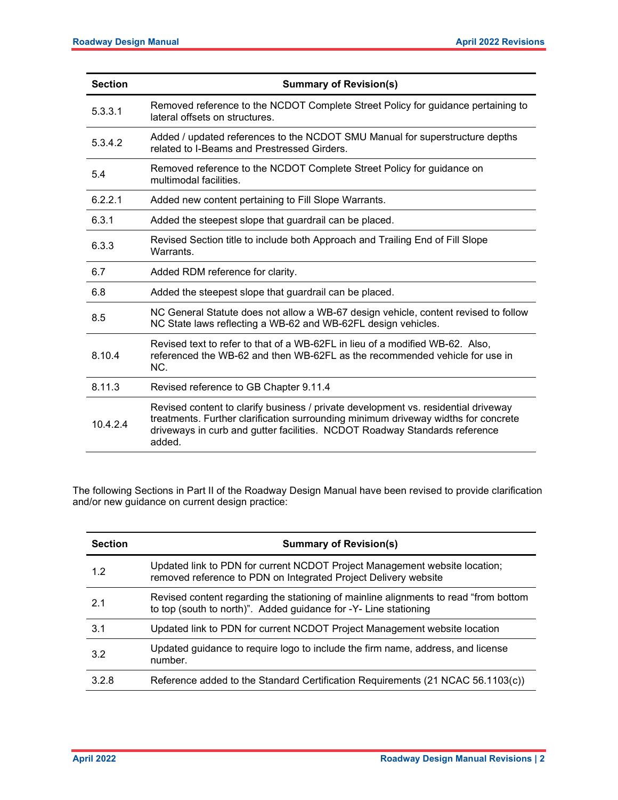| <b>Section</b> | <b>Summary of Revision(s)</b>                                                                                                                                                                                                                                    |
|----------------|------------------------------------------------------------------------------------------------------------------------------------------------------------------------------------------------------------------------------------------------------------------|
| 5.3.3.1        | Removed reference to the NCDOT Complete Street Policy for guidance pertaining to<br>lateral offsets on structures.                                                                                                                                               |
| 5.3.4.2        | Added / updated references to the NCDOT SMU Manual for superstructure depths<br>related to I-Beams and Prestressed Girders.                                                                                                                                      |
| 5.4            | Removed reference to the NCDOT Complete Street Policy for guidance on<br>multimodal facilities.                                                                                                                                                                  |
| 6.2.2.1        | Added new content pertaining to Fill Slope Warrants.                                                                                                                                                                                                             |
| 6.3.1          | Added the steepest slope that guardrail can be placed.                                                                                                                                                                                                           |
| 6.3.3          | Revised Section title to include both Approach and Trailing End of Fill Slope<br>Warrants.                                                                                                                                                                       |
| 6.7            | Added RDM reference for clarity.                                                                                                                                                                                                                                 |
| 6.8            | Added the steepest slope that guardrail can be placed.                                                                                                                                                                                                           |
| 8.5            | NC General Statute does not allow a WB-67 design vehicle, content revised to follow<br>NC State laws reflecting a WB-62 and WB-62FL design vehicles.                                                                                                             |
| 8.10.4         | Revised text to refer to that of a WB-62FL in lieu of a modified WB-62. Also,<br>referenced the WB-62 and then WB-62FL as the recommended vehicle for use in<br>NC.                                                                                              |
| 8.11.3         | Revised reference to GB Chapter 9.11.4                                                                                                                                                                                                                           |
| 10.4.2.4       | Revised content to clarify business / private development vs. residential driveway<br>treatments. Further clarification surrounding minimum driveway widths for concrete<br>driveways in curb and gutter facilities. NCDOT Roadway Standards reference<br>added. |

The following Sections in Part II of the Roadway Design Manual have been revised to provide clarification and/or new guidance on current design practice:

| <b>Section</b> | <b>Summary of Revision(s)</b>                                                                                                                             |
|----------------|-----------------------------------------------------------------------------------------------------------------------------------------------------------|
| 1.2            | Updated link to PDN for current NCDOT Project Management website location;<br>removed reference to PDN on Integrated Project Delivery website             |
| 21             | Revised content regarding the stationing of mainline alignments to read "from bottom"<br>to top (south to north)". Added guidance for -Y- Line stationing |
| 3.1            | Updated link to PDN for current NCDOT Project Management website location                                                                                 |
| 3.2            | Updated guidance to require logo to include the firm name, address, and license<br>number.                                                                |
| 3.2.8          | Reference added to the Standard Certification Requirements (21 NCAC 56.1103(c))                                                                           |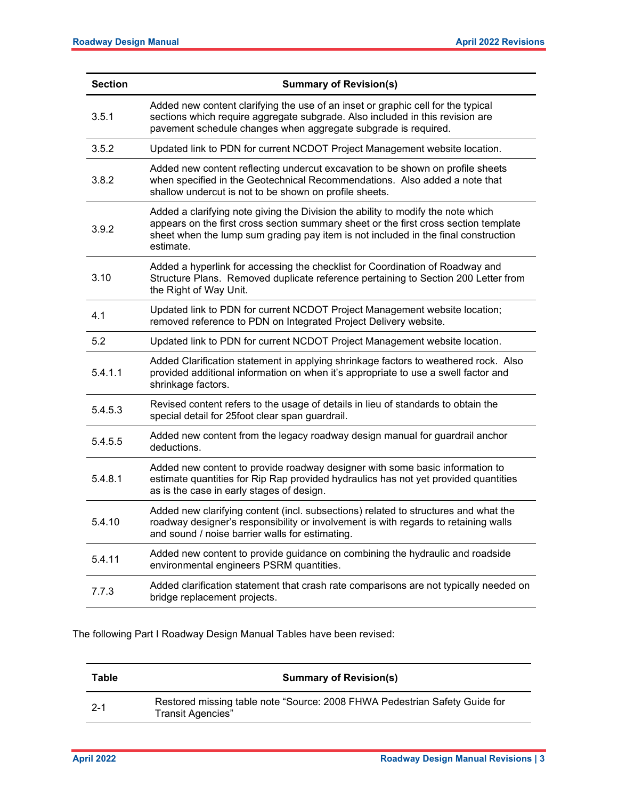| <b>Section</b> | <b>Summary of Revision(s)</b>                                                                                                                                                                                                                                               |
|----------------|-----------------------------------------------------------------------------------------------------------------------------------------------------------------------------------------------------------------------------------------------------------------------------|
| 3.5.1          | Added new content clarifying the use of an inset or graphic cell for the typical<br>sections which require aggregate subgrade. Also included in this revision are<br>pavement schedule changes when aggregate subgrade is required.                                         |
| 3.5.2          | Updated link to PDN for current NCDOT Project Management website location.                                                                                                                                                                                                  |
| 3.8.2          | Added new content reflecting undercut excavation to be shown on profile sheets<br>when specified in the Geotechnical Recommendations. Also added a note that<br>shallow undercut is not to be shown on profile sheets.                                                      |
| 3.9.2          | Added a clarifying note giving the Division the ability to modify the note which<br>appears on the first cross section summary sheet or the first cross section template<br>sheet when the lump sum grading pay item is not included in the final construction<br>estimate. |
| 3.10           | Added a hyperlink for accessing the checklist for Coordination of Roadway and<br>Structure Plans. Removed duplicate reference pertaining to Section 200 Letter from<br>the Right of Way Unit.                                                                               |
| 4.1            | Updated link to PDN for current NCDOT Project Management website location;<br>removed reference to PDN on Integrated Project Delivery website.                                                                                                                              |
| 5.2            | Updated link to PDN for current NCDOT Project Management website location.                                                                                                                                                                                                  |
| 5.4.1.1        | Added Clarification statement in applying shrinkage factors to weathered rock. Also<br>provided additional information on when it's appropriate to use a swell factor and<br>shrinkage factors.                                                                             |
| 5.4.5.3        | Revised content refers to the usage of details in lieu of standards to obtain the<br>special detail for 25foot clear span guardrail.                                                                                                                                        |
| 5.4.5.5        | Added new content from the legacy roadway design manual for guardrail anchor<br>deductions.                                                                                                                                                                                 |
| 5.4.8.1        | Added new content to provide roadway designer with some basic information to<br>estimate quantities for Rip Rap provided hydraulics has not yet provided quantities<br>as is the case in early stages of design.                                                            |
| 5.4.10         | Added new clarifying content (incl. subsections) related to structures and what the<br>roadway designer's responsibility or involvement is with regards to retaining walls<br>and sound / noise barrier walls for estimating.                                               |
| 5.4.11         | Added new content to provide guidance on combining the hydraulic and roadside<br>environmental engineers PSRM quantities.                                                                                                                                                   |
| 7.7.3          | Added clarification statement that crash rate comparisons are not typically needed on<br>bridge replacement projects.                                                                                                                                                       |

The following Part I Roadway Design Manual Tables have been revised:

| Table   | <b>Summary of Revision(s)</b>                                                                   |
|---------|-------------------------------------------------------------------------------------------------|
| $2 - 1$ | Restored missing table note "Source: 2008 FHWA Pedestrian Safety Guide for<br>Transit Agencies" |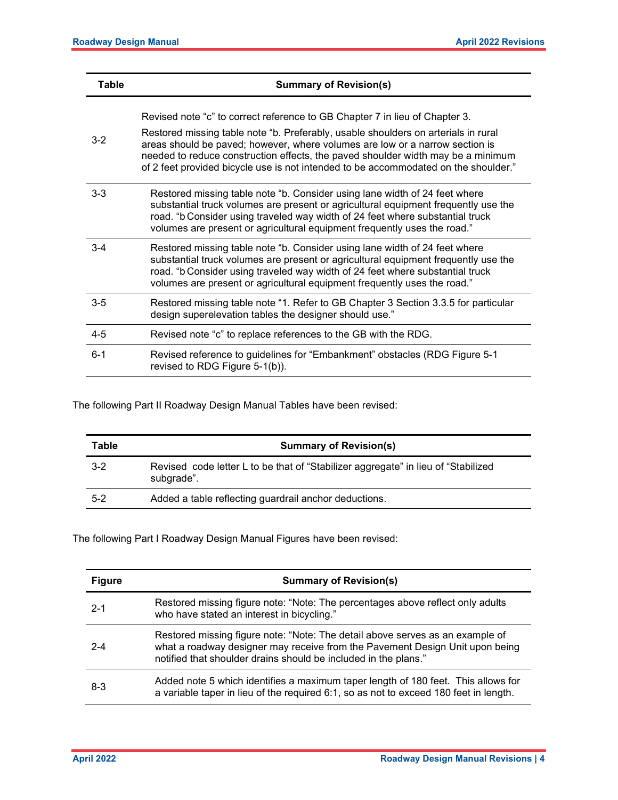| Table   | <b>Summary of Revision(s)</b>                                                                                                                                                                                                                                                                                                         |
|---------|---------------------------------------------------------------------------------------------------------------------------------------------------------------------------------------------------------------------------------------------------------------------------------------------------------------------------------------|
| $3 - 2$ | Revised note "c" to correct reference to GB Chapter 7 in lieu of Chapter 3.<br>Restored missing table note "b. Preferably, usable shoulders on arterials in rural<br>areas should be paved; however, where volumes are low or a narrow section is<br>needed to reduce construction effects, the paved shoulder width may be a minimum |
|         | of 2 feet provided bicycle use is not intended to be accommodated on the shoulder."                                                                                                                                                                                                                                                   |
| $3 - 3$ | Restored missing table note "b. Consider using lane width of 24 feet where<br>substantial truck volumes are present or agricultural equipment frequently use the<br>road. "b Consider using traveled way width of 24 feet where substantial truck<br>volumes are present or agricultural equipment frequently uses the road."         |
| $3 - 4$ | Restored missing table note "b. Consider using lane width of 24 feet where<br>substantial truck volumes are present or agricultural equipment frequently use the<br>road. "b Consider using traveled way width of 24 feet where substantial truck<br>volumes are present or agricultural equipment frequently uses the road."         |
| $3-5$   | Restored missing table note "1. Refer to GB Chapter 3 Section 3.3.5 for particular<br>design superelevation tables the designer should use."                                                                                                                                                                                          |
| $4 - 5$ | Revised note "c" to replace references to the GB with the RDG.                                                                                                                                                                                                                                                                        |
| $6 - 1$ | Revised reference to guidelines for "Embankment" obstacles (RDG Figure 5-1<br>revised to RDG Figure 5-1(b)).                                                                                                                                                                                                                          |

The following Part II Roadway Design Manual Tables have been revised:

| Table   | <b>Summary of Revision(s)</b>                                                                    |
|---------|--------------------------------------------------------------------------------------------------|
| $3-2$   | Revised code letter L to be that of "Stabilizer aggregate" in lieu of "Stabilized"<br>subgrade". |
| $5 - 2$ | Added a table reflecting guardrail anchor deductions.                                            |

The following Part I Roadway Design Manual Figures have been revised:

| <b>Figure</b> | <b>Summary of Revision(s)</b>                                                                                                                                                                                                    |
|---------------|----------------------------------------------------------------------------------------------------------------------------------------------------------------------------------------------------------------------------------|
| $2 - 1$       | Restored missing figure note: "Note: The percentages above reflect only adults<br>who have stated an interest in bicycling."                                                                                                     |
| $2 - 4$       | Restored missing figure note: "Note: The detail above serves as an example of<br>what a roadway designer may receive from the Pavement Design Unit upon being<br>notified that shoulder drains should be included in the plans." |
| $8-3$         | Added note 5 which identifies a maximum taper length of 180 feet. This allows for<br>a variable taper in lieu of the required 6:1, so as not to exceed 180 feet in length.                                                       |